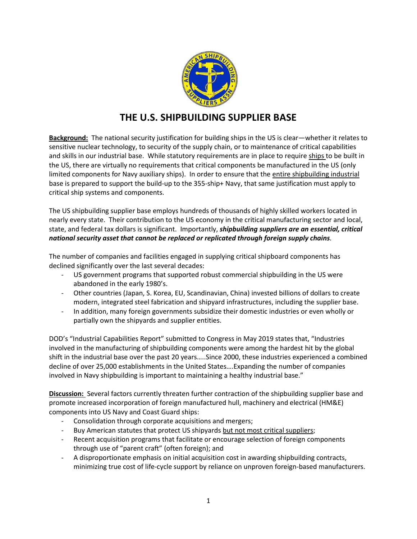

# **THE U.S. SHIPBUILDING SUPPLIER BASE**

**Background:** The national security justification for building ships in the US is clear—whether it relates to sensitive nuclear technology, to security of the supply chain, or to maintenance of critical capabilities and skills in our industrial base. While statutory requirements are in place to require ships to be built in the US, there are virtually no requirements that critical components be manufactured in the US (only limited components for Navy auxiliary ships). In order to ensure that the entire shipbuilding industrial base is prepared to support the build-up to the 355-ship+ Navy, that same justification must apply to critical ship systems and components.

The US shipbuilding supplier base employs hundreds of thousands of highly skilled workers located in nearly every state. Their contribution to the US economy in the critical manufacturing sector and local, state, and federal tax dollars is significant. Importantly, *shipbuilding suppliers are an essential, critical national security asset that cannot be replaced or replicated through foreign supply chains.*

The number of companies and facilities engaged in supplying critical shipboard components has declined significantly over the last several decades:

- US government programs that supported robust commercial shipbuilding in the US were abandoned in the early 1980's.
- Other countries (Japan, S. Korea, EU, Scandinavian, China) invested billions of dollars to create modern, integrated steel fabrication and shipyard infrastructures, including the supplier base.
- In addition, many foreign governments subsidize their domestic industries or even wholly or partially own the shipyards and supplier entities.

DOD's "Industrial Capabilities Report" submitted to Congress in May 2019 states that, "Industries involved in the manufacturing of shipbuilding components were among the hardest hit by the global shift in the industrial base over the past 20 years…..Since 2000, these industries experienced a combined decline of over 25,000 establishments in the United States….Expanding the number of companies involved in Navy shipbuilding is important to maintaining a healthy industrial base."

**Discussion:** Several factors currently threaten further contraction of the shipbuilding supplier base and promote increased incorporation of foreign manufactured hull, machinery and electrical (HM&E) components into US Navy and Coast Guard ships:

- Consolidation through corporate acquisitions and mergers;
- Buy American statutes that protect US shipyards but not most critical suppliers;
- Recent acquisition programs that facilitate or encourage selection of foreign components through use of "parent craft" (often foreign); and
- A disproportionate emphasis on initial acquisition cost in awarding shipbuilding contracts, minimizing true cost of life-cycle support by reliance on unproven foreign-based manufacturers.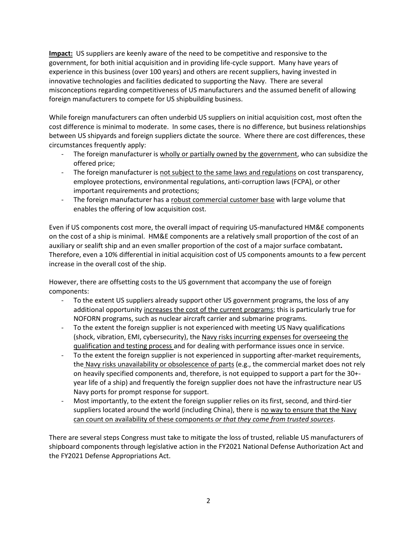**Impact:** US suppliers are keenly aware of the need to be competitive and responsive to the government, for both initial acquisition and in providing life-cycle support. Many have years of experience in this business (over 100 years) and others are recent suppliers, having invested in innovative technologies and facilities dedicated to supporting the Navy. There are several misconceptions regarding competitiveness of US manufacturers and the assumed benefit of allowing foreign manufacturers to compete for US shipbuilding business.

While foreign manufacturers can often underbid US suppliers on initial acquisition cost, most often the cost difference is minimal to moderate. In some cases, there is no difference, but business relationships between US shipyards and foreign suppliers dictate the source. Where there are cost differences, these circumstances frequently apply:

- The foreign manufacturer is wholly or partially owned by the government, who can subsidize the offered price;
- The foreign manufacturer is not subject to the same laws and regulations on cost transparency, employee protections, environmental regulations, anti-corruption laws (FCPA), or other important requirements and protections;
- The foreign manufacturer has a robust commercial customer base with large volume that enables the offering of low acquisition cost.

Even if US components cost more, the overall impact of requiring US-manufactured HM&E components on the cost of a ship is minimal. HM&E components are a relatively small proportion of the cost of an auxiliary or sealift ship and an even smaller proportion of the cost of a major surface combatant**.**  Therefore, even a 10% differential in initial acquisition cost of US components amounts to a few percent increase in the overall cost of the ship.

However, there are offsetting costs to the US government that accompany the use of foreign components:

- To the extent US suppliers already support other US government programs, the loss of any additional opportunity increases the cost of the current programs; this is particularly true for NOFORN programs, such as nuclear aircraft carrier and submarine programs.
- To the extent the foreign supplier is not experienced with meeting US Navy qualifications (shock, vibration, EMI, cybersecurity), the Navy risks incurring expenses for overseeing the qualification and testing process and for dealing with performance issues once in service.
- To the extent the foreign supplier is not experienced in supporting after-market requirements, the Navy risks unavailability or obsolescence of parts (e.g., the commercial market does not rely on heavily specified components and, therefore, is not equipped to support a part for the 30+ year life of a ship) and frequently the foreign supplier does not have the infrastructure near US Navy ports for prompt response for support.
- Most importantly, to the extent the foreign supplier relies on its first, second, and third-tier suppliers located around the world (including China), there is no way to ensure that the Navy can count on availability of these components *or that they come from trusted sources*.

There are several steps Congress must take to mitigate the loss of trusted, reliable US manufacturers of shipboard components through legislative action in the FY2021 National Defense Authorization Act and the FY2021 Defense Appropriations Act.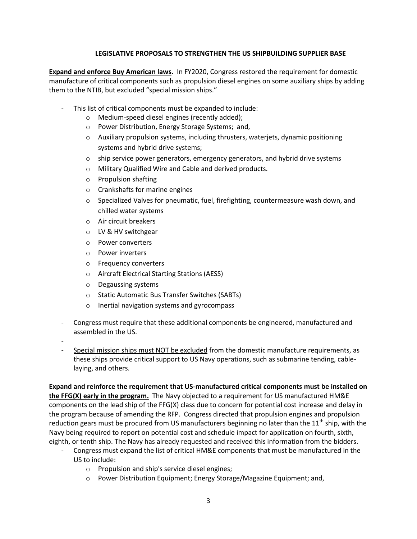### **LEGISLATIVE PROPOSALS TO STRENGTHEN THE US SHIPBUILDING SUPPLIER BASE**

**Expand and enforce Buy American laws**. In FY2020, Congress restored the requirement for domestic manufacture of critical components such as propulsion diesel engines on some auxiliary ships by adding them to the NTIB, but excluded "special mission ships."

- This list of critical components must be expanded to include:
	- o Medium-speed diesel engines (recently added);
	- o Power Distribution, Energy Storage Systems; and,
	- o Auxiliary propulsion systems, including thrusters, waterjets, dynamic positioning systems and hybrid drive systems;
	- $\circ$  ship service power generators, emergency generators, and hybrid drive systems
	- o Military Qualified Wire and Cable and derived products.
	- o Propulsion shafting
	- o Crankshafts for marine engines
	- $\circ$  Specialized Valves for pneumatic, fuel, firefighting, countermeasure wash down, and chilled water systems
	- o Air circuit breakers
	- o LV & HV switchgear
	- o Power converters
	- o Power inverters
	- o Frequency converters
	- o Aircraft Electrical Starting Stations (AESS)
	- o Degaussing systems
	- o Static Automatic Bus Transfer Switches (SABTs)
	- o Inertial navigation systems and gyrocompass
- Congress must require that these additional components be engineered, manufactured and assembled in the US.
- -
- Special mission ships must NOT be excluded from the domestic manufacture requirements, as these ships provide critical support to US Navy operations, such as submarine tending, cablelaying, and others.

#### **Expand and reinforce the requirement that US-manufactured critical components must be installed on**

**the FFG(X) early in the program.** The Navy objected to a requirement for US manufactured HM&E components on the lead ship of the FFG(X) class due to concern for potential cost increase and delay in the program because of amending the RFP. Congress directed that propulsion engines and propulsion reduction gears must be procured from US manufacturers beginning no later than the 11<sup>th</sup> ship, with the Navy being required to report on potential cost and schedule impact for application on fourth, sixth, eighth, or tenth ship. The Navy has already requested and received this information from the bidders.

- Congress must expand the list of critical HM&E components that must be manufactured in the US to include:
	- o Propulsion and ship's service diesel engines;
	- $\circ$  Power Distribution Equipment; Energy Storage/Magazine Equipment; and,